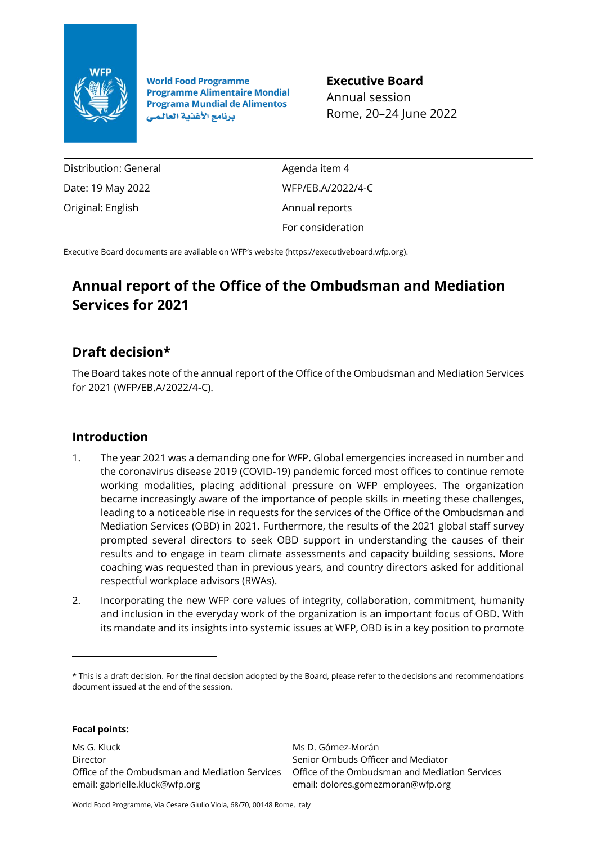

**World Food Programme Programme Alimentaire Mondial Programa Mundial de Alimentos** برنامج الأغذية العالمي

**Executive Board** Annual session Rome, 20–24 June 2022

Distribution: General Date: 19 May 2022 Original: English

Agenda item 4 WFP/EB.A/2022/4-C Annual reports For consideration

Executive Board documents are available on WFP's website [\(https://executiveboard.wfp.org\)](https://executiveboard.wfp.org/).

# **Annual report of the Office of the Ombudsman and Mediation Services for 2021**

# **Draft decision\***

The Board takes note of the annual report of the Office of the Ombudsman and Mediation Services for 2021 (WFP/EB.A/2022/4-C).

## **Introduction**

- 1. The year 2021 was a demanding one for WFP. Global emergencies increased in number and the coronavirus disease 2019 (COVID-19) pandemic forced most offices to continue remote working modalities, placing additional pressure on WFP employees. The organization became increasingly aware of the importance of people skills in meeting these challenges, leading to a noticeable rise in requests for the services of the Office of the Ombudsman and Mediation Services (OBD) in 2021. Furthermore, the results of the 2021 global staff survey prompted several directors to seek OBD support in understanding the causes of their results and to engage in team climate assessments and capacity building sessions. More coaching was requested than in previous years, and country directors asked for additional respectful workplace advisors (RWAs).
- 2. Incorporating the new WFP core values of integrity, collaboration, commitment, humanity and inclusion in the everyday work of the organization is an important focus of OBD. With its mandate and its insights into systemic issues at WFP, OBD is in a key position to promote

**Focal points:**

Ms G. Kluck **Director** Office of the Ombudsman and Mediation Services Office of the Ombudsman and Mediation Services email: gabrielle.kluck@wfp.org

Ms D. Gómez-Morán Senior Ombuds Officer and Mediator email: dolores.gomezmoran@wfp.org

World Food Programme, Via Cesare Giulio Viola, 68/70, 00148 Rome, Italy

<sup>\*</sup> This is a draft decision. For the final decision adopted by the Board, please refer to the decisions and recommendations document issued at the end of the session.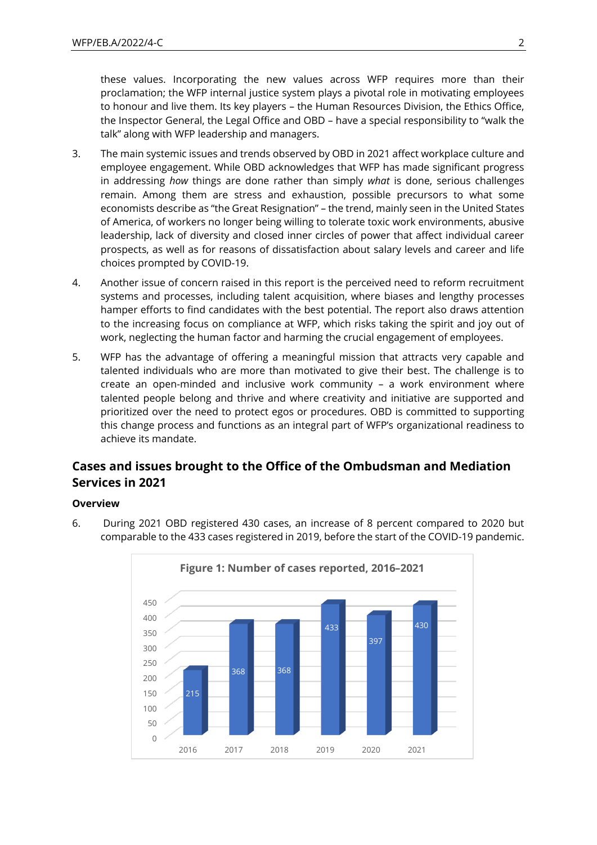these values. Incorporating the new values across WFP requires more than their proclamation; the WFP internal justice system plays a pivotal role in motivating employees to honour and live them. Its key players – the Human Resources Division, the Ethics Office, the Inspector General, the Legal Office and OBD – have a special responsibility to "walk the talk" along with WFP leadership and managers.

- 3. The main systemic issues and trends observed by OBD in 2021 affect workplace culture and employee engagement. While OBD acknowledges that WFP has made significant progress in addressing *how* things are done rather than simply *what* is done, serious challenges remain. Among them are stress and exhaustion, possible precursors to what some economists describe as "the Great Resignation" – the trend, mainly seen in the United States of America, of workers no longer being willing to tolerate toxic work environments, abusive leadership, lack of diversity and closed inner circles of power that affect individual career prospects, as well as for reasons of dissatisfaction about salary levels and career and life choices prompted by COVID-19.
- 4. Another issue of concern raised in this report is the perceived need to reform recruitment systems and processes, including talent acquisition, where biases and lengthy processes hamper efforts to find candidates with the best potential. The report also draws attention to the increasing focus on compliance at WFP, which risks taking the spirit and joy out of work, neglecting the human factor and harming the crucial engagement of employees.
- 5. WFP has the advantage of offering a meaningful mission that attracts very capable and talented individuals who are more than motivated to give their best. The challenge is to create an open-minded and inclusive work community – a work environment where talented people belong and thrive and where creativity and initiative are supported and prioritized over the need to protect egos or procedures. OBD is committed to supporting this change process and functions as an integral part of WFP's organizational readiness to achieve its mandate.

## **Cases and issues brought to the Office of the Ombudsman and Mediation Services in 2021**

#### **Overview**



6. During 2021 OBD registered 430 cases, an increase of 8 percent compared to 2020 but comparable to the 433 cases registered in 2019, before the start of the COVID-19 pandemic.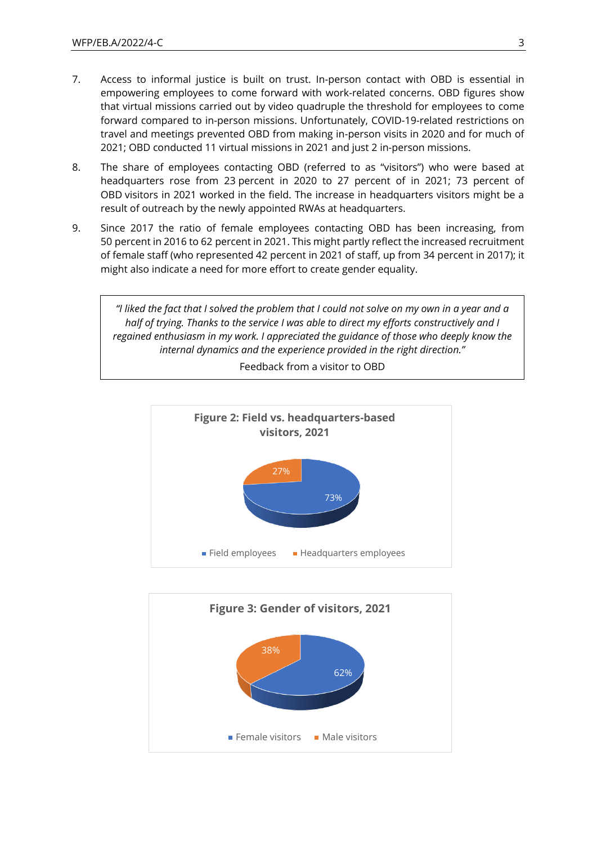- 7. Access to informal justice is built on trust. In-person contact with OBD is essential in empowering employees to come forward with work-related concerns. OBD figures show that virtual missions carried out by video quadruple the threshold for employees to come forward compared to in-person missions. Unfortunately, COVID-19-related restrictions on travel and meetings prevented OBD from making in-person visits in 2020 and for much of 2021; OBD conducted 11 virtual missions in 2021 and just 2 in-person missions.
- 8. The share of employees contacting OBD (referred to as "visitors") who were based at headquarters rose from 23 percent in 2020 to 27 percent of in 2021; 73 percent of OBD visitors in 2021 worked in the field. The increase in headquarters visitors might be a result of outreach by the newly appointed RWAs at headquarters.
- 9. Since 2017 the ratio of female employees contacting OBD has been increasing, from 50 percent in 2016 to 62 percent in 2021. This might partly reflect the increased recruitment of female staff (who represented 42 percent in 2021 of staff, up from 34 percent in 2017); it might also indicate a need for more effort to create gender equality.

*"I liked the fact that I solved the problem that I could not solve on my own in a year and a half of trying. Thanks to the service I was able to direct my efforts constructively and I regained enthusiasm in my work. I appreciated the guidance of those who deeply know the internal dynamics and the experience provided in the right direction."* Feedback from a visitor to OBD



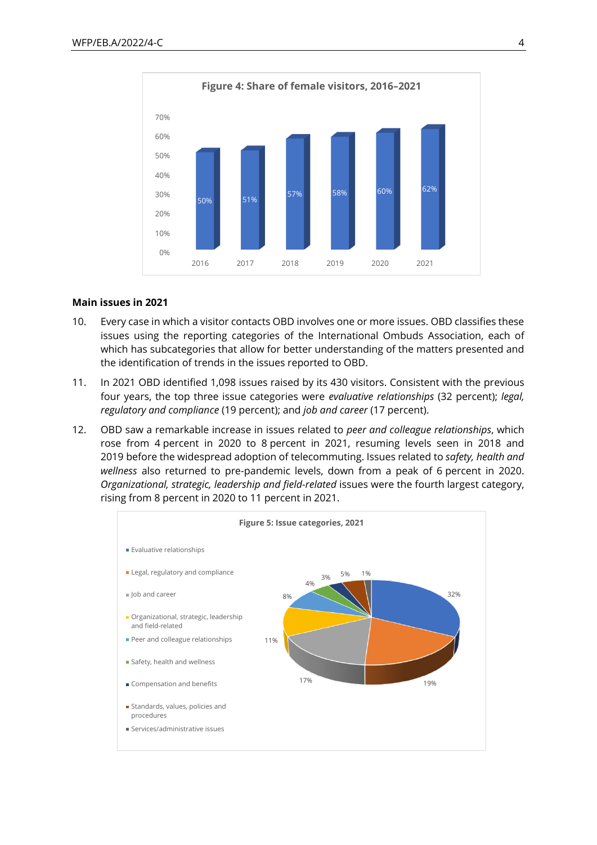

#### **Main issues in 2021**

- 10. Every case in which a visitor contacts OBD involves one or more issues. OBD classifies these issues using the reporting categories of the International Ombuds Association, each of which has subcategories that allow for better understanding of the matters presented and the identification of trends in the issues reported to OBD.
- 11. In 2021 OBD identified 1,098 issues raised by its 430 visitors. Consistent with the previous four years, the top three issue categories were *evaluative relationships* (32 percent); *legal, regulatory and compliance* (19 percent); and *job and career* (17 percent).
- 12. OBD saw a remarkable increase in issues related to *peer and colleague relationships*, which rose from 4 percent in 2020 to 8 percent in 2021, resuming levels seen in 2018 and 2019 before the widespread adoption of telecommuting. Issues related to *safety, health and wellness* also returned to pre-pandemic levels, down from a peak of 6 percent in 2020. *Organizational, strategic, leadership and field-related* issues were the fourth largest category, rising from 8 percent in 2020 to 11 percent in 2021.

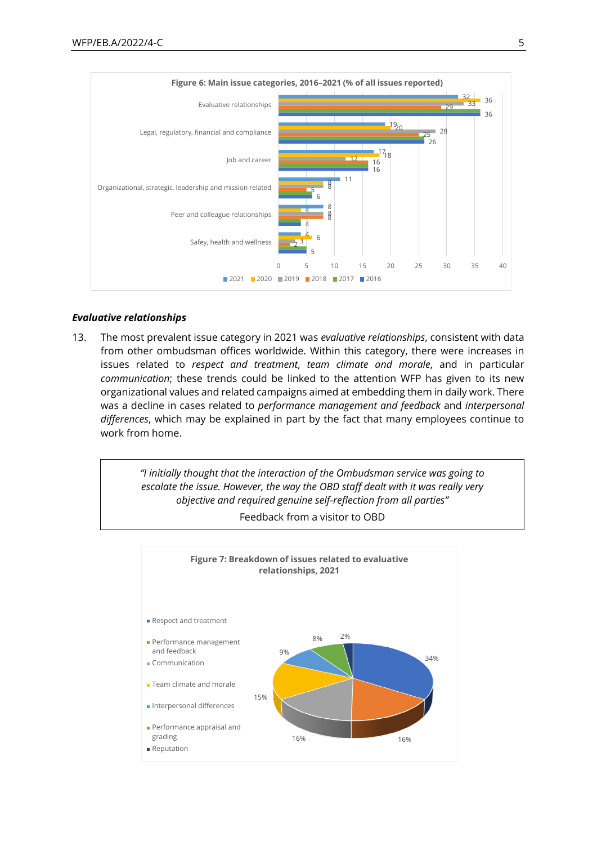

#### *Evaluative relationships*

13. The most prevalent issue category in 2021 was *evaluative relationships*, consistent with data from other ombudsman offices worldwide. Within this category, there were increases in issues related to *respect and treatment*, *team climate and morale*, and in particular *communication*; these trends could be linked to the attention WFP has given to its new organizational values and related campaigns aimed at embedding them in daily work. There was a decline in cases related to *performance management and feedback* and *interpersonal differences*, which may be explained in part by the fact that many employees continue to work from home.





Feedback from a visitor to OBD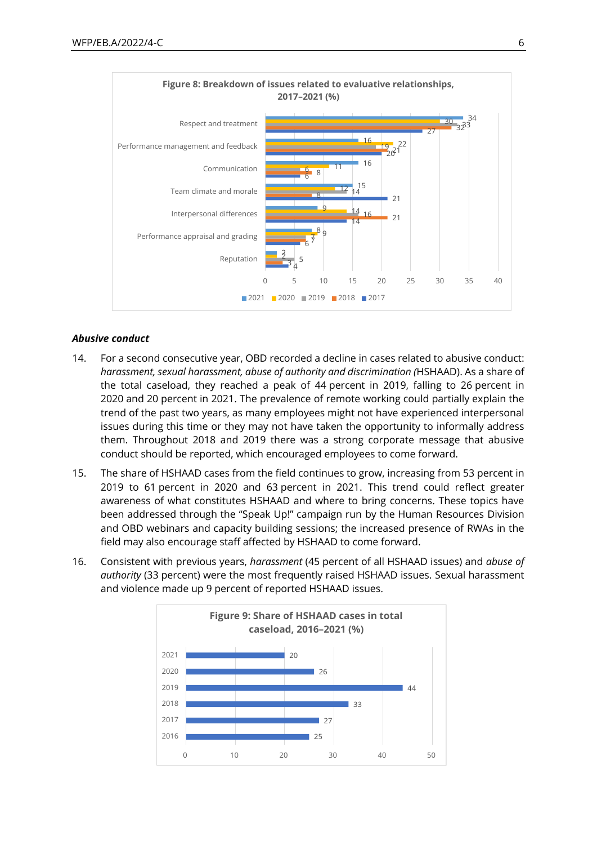

#### *Abusive conduct*

- 14. For a second consecutive year, OBD recorded a decline in cases related to abusive conduct: *harassment, sexual harassment, abuse of authority and discrimination (*HSHAAD). As a share of the total caseload, they reached a peak of 44 percent in 2019, falling to 26 percent in and 20 percent in 2021. The prevalence of remote working could partially explain the trend of the past two years, as many employees might not have experienced interpersonal issues during this time or they may not have taken the opportunity to informally address them. Throughout 2018 and 2019 there was a strong corporate message that abusive conduct should be reported, which encouraged employees to come forward.
- 15. The share of HSHAAD cases from the field continues to grow, increasing from 53 percent in 2019 to 61 percent in 2020 and 63 percent in 2021. This trend could reflect greater awareness of what constitutes HSHAAD and where to bring concerns. These topics have been addressed through the "Speak Up!" campaign run by the Human Resources Division and OBD webinars and capacity building sessions; the increased presence of RWAs in the field may also encourage staff affected by HSHAAD to come forward.
- 16. Consistent with previous years, *harassment* (45 percent of all HSHAAD issues) and *abuse of authority* (33 percent) were the most frequently raised HSHAAD issues. Sexual harassment and violence made up 9 percent of reported HSHAAD issues.

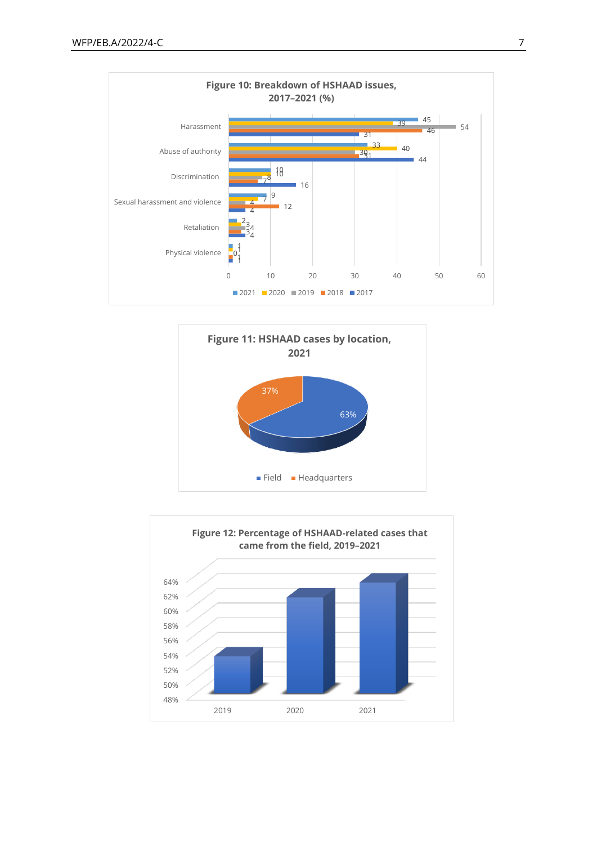



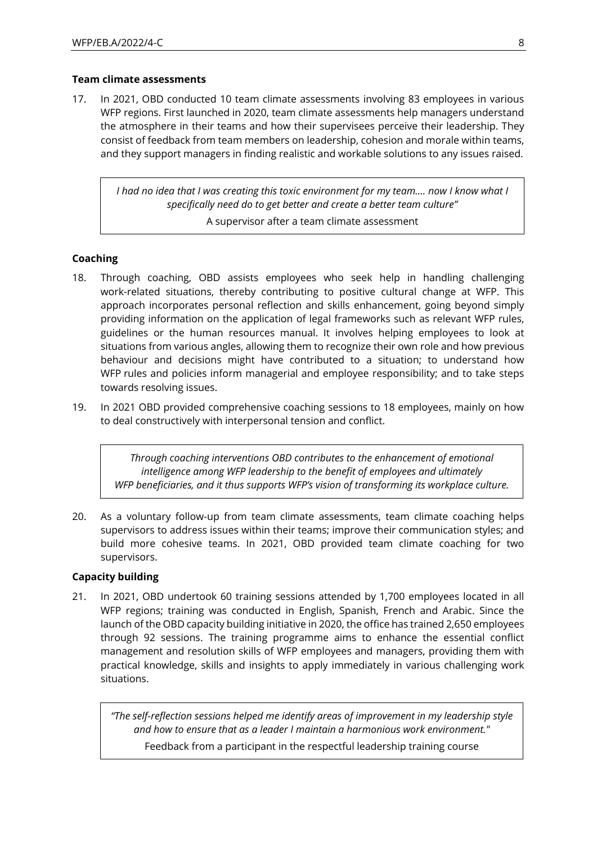#### **Team climate assessments**

17. In 2021, OBD conducted 10 team climate assessments involving 83 employees in various WFP regions. First launched in 2020, team climate assessments help managers understand the atmosphere in their teams and how their supervisees perceive their leadership. They consist of feedback from team members on leadership, cohesion and morale within teams, and they support managers in finding realistic and workable solutions to any issues raised.

*I had no idea that I was creating this toxic environment for my team…. now I know what I specifically need do to get better and create a better team culture"*  A supervisor after a team climate assessment

#### **Coaching**

- 18. Through coaching, OBD assists employees who seek help in handling challenging work-related situations, thereby contributing to positive cultural change at WFP. This approach incorporates personal reflection and skills enhancement, going beyond simply providing information on the application of legal frameworks such as relevant WFP rules, guidelines or the human resources manual. It involves helping employees to look at situations from various angles, allowing them to recognize their own role and how previous behaviour and decisions might have contributed to a situation; to understand how WFP rules and policies inform managerial and employee responsibility; and to take steps towards resolving issues.
- 19. In 2021 OBD provided comprehensive coaching sessions to 18 employees, mainly on how to deal constructively with interpersonal tension and conflict.

*Through coaching interventions OBD contributes to the enhancement of emotional intelligence among WFP leadership to the benefit of employees and ultimately WFP beneficiaries, and it thus supports WFP's vision of transforming its workplace culture.*

20. As a voluntary follow-up from team climate assessments, team climate coaching helps supervisors to address issues within their teams; improve their communication styles; and build more cohesive teams. In 2021, OBD provided team climate coaching for two supervisors.

#### **Capacity building**

21. In 2021, OBD undertook 60 training sessions attended by 1,700 employees located in all WFP regions; training was conducted in English, Spanish, French and Arabic. Since the launch of the OBD capacity building initiative in 2020, the office has trained 2,650 employees through 92 sessions. The training programme aims to enhance the essential conflict management and resolution skills of WFP employees and managers, providing them with practical knowledge, skills and insights to apply immediately in various challenging work situations.

*"The self-reflection sessions helped me identify areas of improvement in my leadership style and how to ensure that as a leader I maintain a harmonious work environment."*

Feedback from a participant in the respectful leadership training course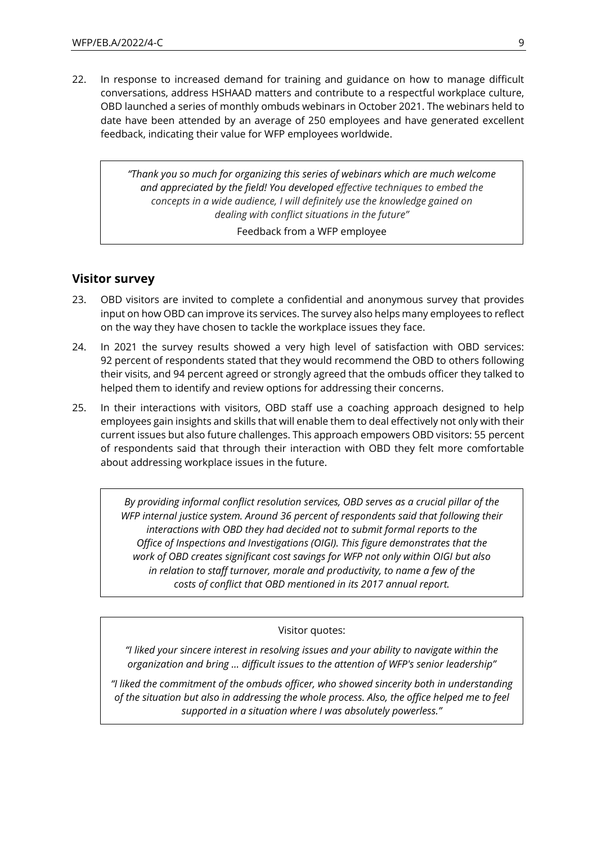22. In response to increased demand for training and guidance on how to manage difficult conversations, address HSHAAD matters and contribute to a respectful workplace culture, OBD launched a series of monthly ombuds webinars in October 2021. The webinars held to date have been attended by an average of 250 employees and have generated excellent feedback, indicating their value for WFP employees worldwide.

> *"Thank you so much for organizing this series of webinars which are much welcome and appreciated by the field! You developed effective techniques to embed the concepts in a wide audience, I will definitely use the knowledge gained on dealing with conflict situations in the future"*

> > Feedback from a WFP employee

#### **Visitor survey**

- 23. OBD visitors are invited to complete a confidential and anonymous survey that provides input on how OBD can improve its services. The survey also helps many employees to reflect on the way they have chosen to tackle the workplace issues they face.
- 24. In 2021 the survey results showed a very high level of satisfaction with OBD services: 92 percent of respondents stated that they would recommend the OBD to others following their visits, and 94 percent agreed or strongly agreed that the ombuds officer they talked to helped them to identify and review options for addressing their concerns.
- 25. In their interactions with visitors, OBD staff use a coaching approach designed to help employees gain insights and skills that will enable them to deal effectively not only with their current issues but also future challenges. This approach empowers OBD visitors: 55 percent of respondents said that through their interaction with OBD they felt more comfortable about addressing workplace issues in the future.

*By providing informal conflict resolution services, OBD serves as a crucial pillar of the WFP internal justice system. Around 36 percent of respondents said that following their interactions with OBD they had decided not to submit formal reports to the Office of Inspections and Investigations (OIGI). This figure demonstrates that the work of OBD creates significant cost savings for WFP not only within OIGI but also in relation to staff turnover, morale and productivity, to name a few of the costs of conflict that OBD mentioned in its 2017 annual report.*

Visitor quotes:

*"I liked your sincere interest in resolving issues and your ability to navigate within the organization and bring … difficult issues to the attention of WFP's senior leadership"*

*"I liked the commitment of the ombuds officer, who showed sincerity both in understanding of the situation but also in addressing the whole process. Also, the office helped me to feel supported in a situation where I was absolutely powerless."*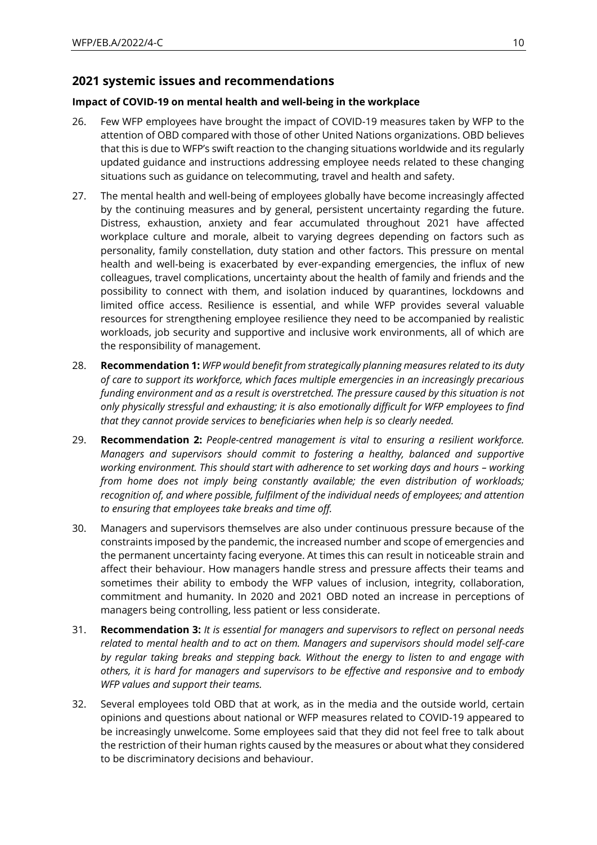### **2021 systemic issues and recommendations**

#### **Impact of COVID-19 on mental health and well-being in the workplace**

- 26. Few WFP employees have brought the impact of COVID-19 measures taken by WFP to the attention of OBD compared with those of other United Nations organizations. OBD believes that this is due to WFP's swift reaction to the changing situations worldwide and its regularly updated guidance and instructions addressing employee needs related to these changing situations such as guidance on telecommuting, travel and health and safety.
- 27. The mental health and well-being of employees globally have become increasingly affected by the continuing measures and by general, persistent uncertainty regarding the future. Distress, exhaustion, anxiety and fear accumulated throughout 2021 have affected workplace culture and morale, albeit to varying degrees depending on factors such as personality, family constellation, duty station and other factors. This pressure on mental health and well-being is exacerbated by ever-expanding emergencies, the influx of new colleagues, travel complications, uncertainty about the health of family and friends and the possibility to connect with them, and isolation induced by quarantines, lockdowns and limited office access. Resilience is essential, and while WFP provides several valuable resources for strengthening employee resilience they need to be accompanied by realistic workloads, job security and supportive and inclusive work environments, all of which are the responsibility of management.
- 28. **Recommendation 1:** *WFP would benefit from strategically planning measures related to its duty of care to support its workforce, which faces multiple emergencies in an increasingly precarious funding environment and as a result is overstretched. The pressure caused by this situation is not only physically stressful and exhausting; it is also emotionally difficult for WFP employees to find that they cannot provide services to beneficiaries when help is so clearly needed.*
- 29. **Recommendation 2:** *People-centred management is vital to ensuring a resilient workforce. Managers and supervisors should commit to fostering a healthy, balanced and supportive working environment. This should start with adherence to set working days and hours - working from home does not imply being constantly available; the even distribution of workloads; recognition of, and where possible, fulfilment of the individual needs of employees; and attention to ensuring that employees take breaks and time off.*
- 30. Managers and supervisors themselves are also under continuous pressure because of the constraints imposed by the pandemic, the increased number and scope of emergencies and the permanent uncertainty facing everyone. At times this can result in noticeable strain and affect their behaviour. How managers handle stress and pressure affects their teams and sometimes their ability to embody the WFP values of inclusion, integrity, collaboration, commitment and humanity. In 2020 and 2021 OBD noted an increase in perceptions of managers being controlling, less patient or less considerate.
- 31. **Recommendation 3:** *It is essential for managers and supervisors to reflect on personal needs related to mental health and to act on them. Managers and supervisors should model self-care by regular taking breaks and stepping back. Without the energy to listen to and engage with others, it is hard for managers and supervisors to be effective and responsive and to embody WFP values and support their teams.*
- 32. Several employees told OBD that at work, as in the media and the outside world, certain opinions and questions about national or WFP measures related to COVID-19 appeared to be increasingly unwelcome. Some employees said that they did not feel free to talk about the restriction of their human rights caused by the measures or about what they considered to be discriminatory decisions and behaviour.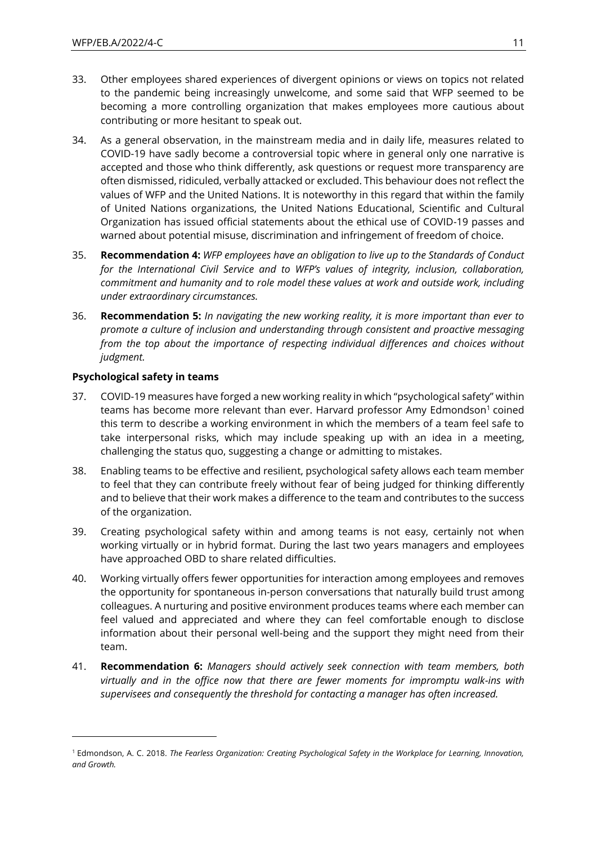- 33. Other employees shared experiences of divergent opinions or views on topics not related to the pandemic being increasingly unwelcome, and some said that WFP seemed to be becoming a more controlling organization that makes employees more cautious about contributing or more hesitant to speak out.
- 34. As a general observation, in the mainstream media and in daily life, measures related to COVID-19 have sadly become a controversial topic where in general only one narrative is accepted and those who think differently, ask questions or request more transparency are often dismissed, ridiculed, verbally attacked or excluded. This behaviour does not reflect the values of WFP and the United Nations. It is noteworthy in this regard that within the family of United Nations organizations, the United Nations Educational, Scientific and Cultural Organization has issued official statements about the ethical use of COVID-19 passes and warned about potential misuse, discrimination and infringement of freedom of choice.
- 35. **Recommendation 4:** *WFP employees have an obligation to live up to the Standards of Conduct for the International Civil Service and to WFP's values of integrity, inclusion, collaboration, commitment and humanity and to role model these values at work and outside work, including under extraordinary circumstances.*
- 36. **Recommendation 5:** *In navigating the new working reality, it is more important than ever to promote a culture of inclusion and understanding through consistent and proactive messaging from the top about the importance of respecting individual differences and choices without judgment.*

#### **Psychological safety in teams**

- 37. COVID-19 measures have forged a new working reality in which "psychological safety" within teams has become more relevant than ever. Harvard professor Amy Edmondson<sup>1</sup> coined this term to describe a working environment in which the members of a team feel safe to take interpersonal risks, which may include speaking up with an idea in a meeting, challenging the status quo, suggesting a change or admitting to mistakes.
- 38. Enabling teams to be effective and resilient, psychological safety allows each team member to feel that they can contribute freely without fear of being judged for thinking differently and to believe that their work makes a difference to the team and contributes to the success of the organization.
- 39. Creating psychological safety within and among teams is not easy, certainly not when working virtually or in hybrid format. During the last two years managers and employees have approached OBD to share related difficulties.
- 40. Working virtually offers fewer opportunities for interaction among employees and removes the opportunity for spontaneous in-person conversations that naturally build trust among colleagues. A nurturing and positive environment produces teams where each member can feel valued and appreciated and where they can feel comfortable enough to disclose information about their personal well-being and the support they might need from their team.
- 41. **Recommendation 6:** *Managers should actively seek connection with team members, both virtually and in the office now that there are fewer moments for impromptu walk-ins with supervisees and consequently the threshold for contacting a manager has often increased.*

<sup>1</sup> Edmondson, A. C. 2018. *The Fearless Organization: Creating Psychological Safety in the Workplace for Learning, Innovation, and Growth.*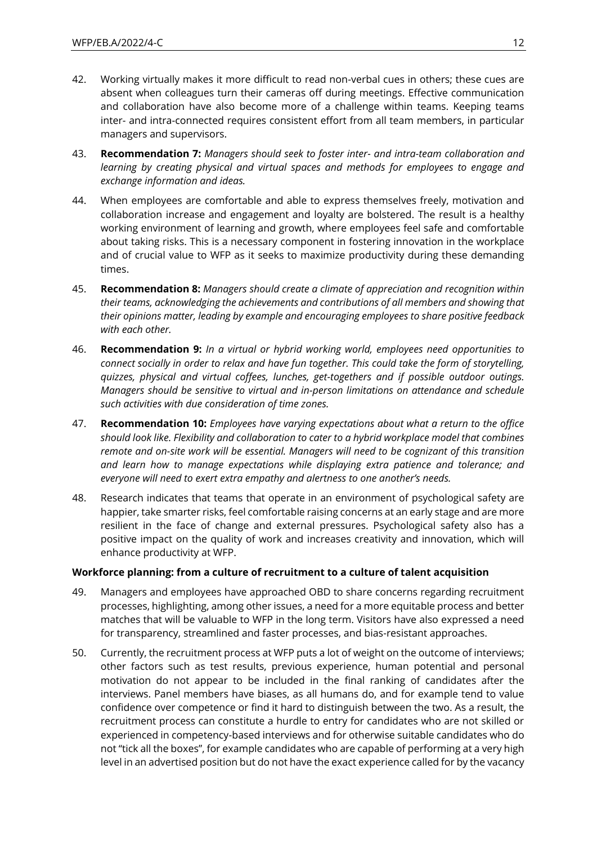- 42. Working virtually makes it more difficult to read non-verbal cues in others; these cues are absent when colleagues turn their cameras off during meetings. Effective communication and collaboration have also become more of a challenge within teams. Keeping teams inter- and intra-connected requires consistent effort from all team members, in particular managers and supervisors.
- 43. **Recommendation 7:** *Managers should seek to foster inter- and intra-team collaboration and learning by creating physical and virtual spaces and methods for employees to engage and exchange information and ideas.*
- 44. When employees are comfortable and able to express themselves freely, motivation and collaboration increase and engagement and loyalty are bolstered. The result is a healthy working environment of learning and growth, where employees feel safe and comfortable about taking risks. This is a necessary component in fostering innovation in the workplace and of crucial value to WFP as it seeks to maximize productivity during these demanding times.
- 45. **Recommendation 8:** *Managers should create a climate of appreciation and recognition within their teams, acknowledging the achievements and contributions of all members and showing that their opinions matter, leading by example and encouraging employees to share positive feedback with each other.*
- 46. **Recommendation 9:** *In a virtual or hybrid working world, employees need opportunities to connect socially in order to relax and have fun together. This could take the form of storytelling, quizzes, physical and virtual coffees, lunches, get-togethers and if possible outdoor outings. Managers should be sensitive to virtual and in-person limitations on attendance and schedule such activities with due consideration of time zones.*
- 47. **Recommendation 10:** *Employees have varying expectations about what a return to the office should look like. Flexibility and collaboration to cater to a hybrid workplace model that combines remote and on-site work will be essential. Managers will need to be cognizant of this transition and learn how to manage expectations while displaying extra patience and tolerance; and everyone will need to exert extra empathy and alertness to one another's needs.*
- 48. Research indicates that teams that operate in an environment of psychological safety are happier, take smarter risks, feel comfortable raising concerns at an early stage and are more resilient in the face of change and external pressures. Psychological safety also has a positive impact on the quality of work and increases creativity and innovation, which will enhance productivity at WFP.

#### **Workforce planning: from a culture of recruitment to a culture of talent acquisition**

- 49. Managers and employees have approached OBD to share concerns regarding recruitment processes, highlighting, among other issues, a need for a more equitable process and better matches that will be valuable to WFP in the long term. Visitors have also expressed a need for transparency, streamlined and faster processes, and bias-resistant approaches.
- 50. Currently, the recruitment process at WFP puts a lot of weight on the outcome of interviews; other factors such as test results, previous experience, human potential and personal motivation do not appear to be included in the final ranking of candidates after the interviews. Panel members have biases, as all humans do, and for example tend to value confidence over competence or find it hard to distinguish between the two. As a result, the recruitment process can constitute a hurdle to entry for candidates who are not skilled or experienced in competency-based interviews and for otherwise suitable candidates who do not "tick all the boxes", for example candidates who are capable of performing at a very high level in an advertised position but do not have the exact experience called for by the vacancy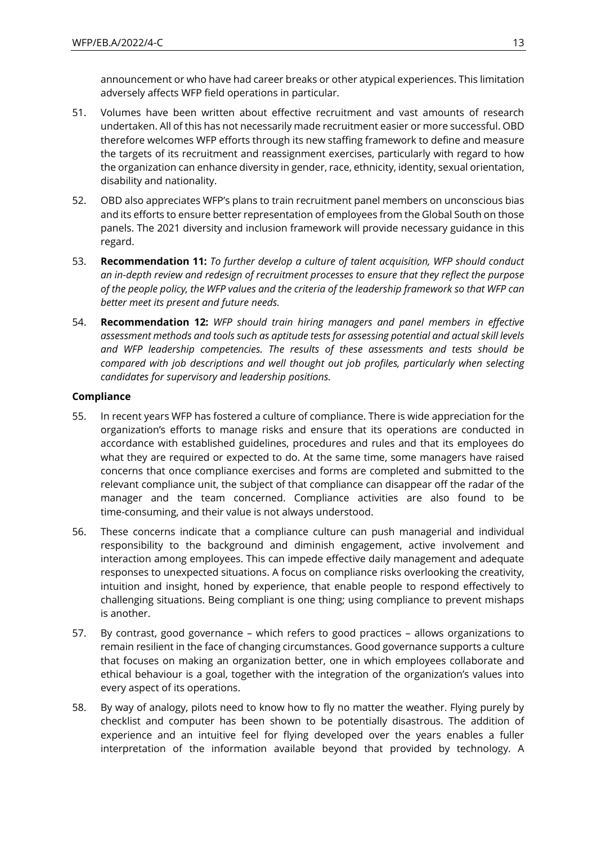announcement or who have had career breaks or other atypical experiences. This limitation adversely affects WFP field operations in particular.

- 51. Volumes have been written about effective recruitment and vast amounts of research undertaken. All of this has not necessarily made recruitment easier or more successful. OBD therefore welcomes WFP efforts through its new staffing framework to define and measure the targets of its recruitment and reassignment exercises, particularly with regard to how the organization can enhance diversity in gender, race, ethnicity, identity, sexual orientation, disability and nationality.
- 52. OBD also appreciates WFP's plans to train recruitment panel members on unconscious bias and its efforts to ensure better representation of employees from the Global South on those panels. The 2021 diversity and inclusion framework will provide necessary guidance in this regard.
- 53. **Recommendation 11:** *To further develop a culture of talent acquisition, WFP should conduct an in-depth review and redesign of recruitment processes to ensure that they reflect the purpose of the people policy, the WFP values and the criteria of the leadership framework so that WFP can better meet its present and future needs.*
- 54. **Recommendation 12:** *WFP should train hiring managers and panel members in effective assessment methods and tools such as aptitude tests for assessing potential and actual skill levels and WFP leadership competencies. The results of these assessments and tests should be compared with job descriptions and well thought out job profiles, particularly when selecting candidates for supervisory and leadership positions.*

#### **Compliance**

- 55. In recent years WFP has fostered a culture of compliance. There is wide appreciation for the organization's efforts to manage risks and ensure that its operations are conducted in accordance with established guidelines, procedures and rules and that its employees do what they are required or expected to do. At the same time, some managers have raised concerns that once compliance exercises and forms are completed and submitted to the relevant compliance unit, the subject of that compliance can disappear off the radar of the manager and the team concerned. Compliance activities are also found to be time-consuming, and their value is not always understood.
- 56. These concerns indicate that a compliance culture can push managerial and individual responsibility to the background and diminish engagement, active involvement and interaction among employees. This can impede effective daily management and adequate responses to unexpected situations. A focus on compliance risks overlooking the creativity, intuition and insight, honed by experience, that enable people to respond effectively to challenging situations. Being compliant is one thing; using compliance to prevent mishaps is another.
- 57. By contrast, good governance which refers to good practices allows organizations to remain resilient in the face of changing circumstances. Good governance supports a culture that focuses on making an organization better, one in which employees collaborate and ethical behaviour is a goal, together with the integration of the organization's values into every aspect of its operations.
- 58. By way of analogy, pilots need to know how to fly no matter the weather. Flying purely by checklist and computer has been shown to be potentially disastrous. The addition of experience and an intuitive feel for flying developed over the years enables a fuller interpretation of the information available beyond that provided by technology. A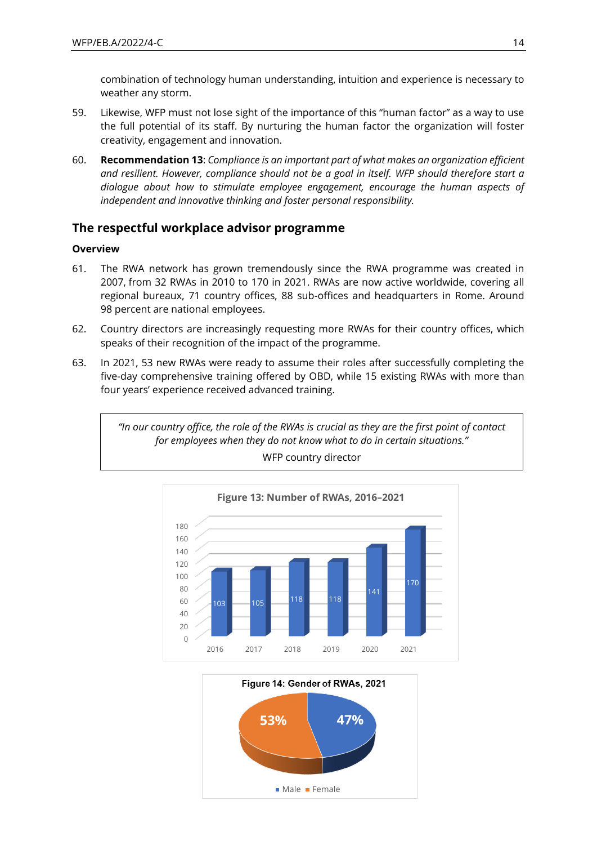combination of technology human understanding, intuition and experience is necessary to weather any storm.

- 59. Likewise, WFP must not lose sight of the importance of this "human factor" as a way to use the full potential of its staff. By nurturing the human factor the organization will foster creativity, engagement and innovation.
- 60. **Recommendation 13**: *Compliance is an important part of what makes an organization efficient and resilient. However, compliance should not be a goal in itself. WFP should therefore start a dialogue about how to stimulate employee engagement, encourage the human aspects of independent and innovative thinking and foster personal responsibility.*

### **The respectful workplace advisor programme**

#### **Overview**

- 61. The RWA network has grown tremendously since the RWA programme was created in 2007, from 32 RWAs in 2010 to 170 in 2021. RWAs are now active worldwide, covering all regional bureaux, 71 country offices, 88 sub-offices and headquarters in Rome. Around 98 percent are national employees.
- 62. Country directors are increasingly requesting more RWAs for their country offices, which speaks of their recognition of the impact of the programme.
- 63. In 2021, 53 new RWAs were ready to assume their roles after successfully completing the five-day comprehensive training offered by OBD, while 15 existing RWAs with more than four years' experience received advanced training.

*"In our country office, the role of the RWAs is crucial as they are the first point of contact for employees when they do not know what to do in certain situations."* WFP country director



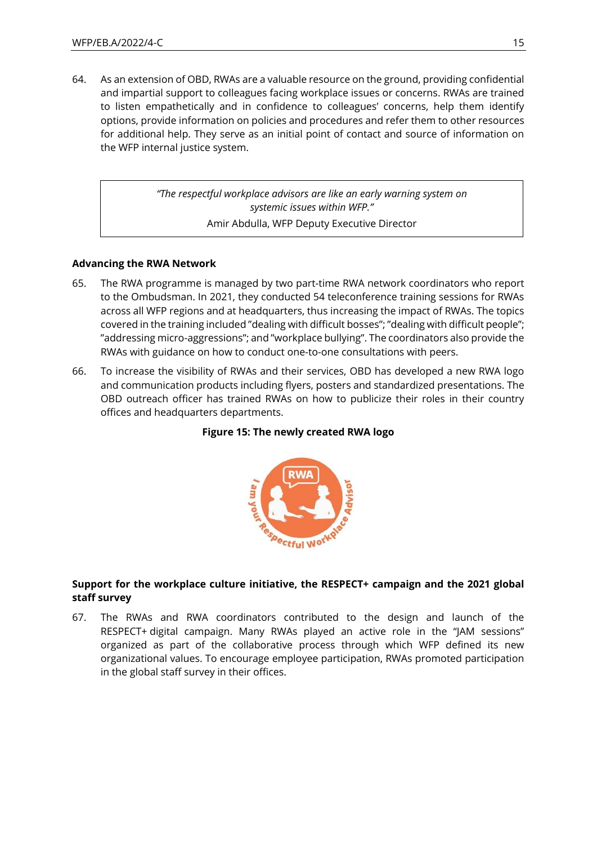64. As an extension of OBD, RWAs are a valuable resource on the ground, providing confidential and impartial support to colleagues facing workplace issues or concerns. RWAs are trained to listen empathetically and in confidence to colleagues' concerns, help them identify options, provide information on policies and procedures and refer them to other resources for additional help. They serve as an initial point of contact and source of information on the WFP internal justice system.

> *"The respectful workplace advisors are like an early warning system on systemic issues within WFP."* Amir Abdulla, WFP Deputy Executive Director

# **Advancing the RWA Network**

- 65. The RWA programme is managed by two part-time RWA network coordinators who report to the Ombudsman. In 2021, they conducted 54 teleconference training sessions for RWAs across all WFP regions and at headquarters, thus increasing the impact of RWAs. The topics covered in the training included "dealing with difficult bosses"; "dealing with difficult people"; "addressing micro-aggressions"; and "workplace bullying". The coordinators also provide the RWAs with guidance on how to conduct one-to-one consultations with peers.
- 66. To increase the visibility of RWAs and their services, OBD has developed a new RWA logo and communication products including flyers, posters and standardized presentations. The OBD outreach officer has trained RWAs on how to publicize their roles in their country offices and headquarters departments.

#### **Figure 15: The newly created RWA logo**



#### **Support for the workplace culture initiative, the RESPECT+ campaign and the 2021 global staff survey**

67. The RWAs and RWA coordinators contributed to the design and launch of the RESPECT+ digital campaign. Many RWAs played an active role in the "JAM sessions" organized as part of the collaborative process through which WFP defined its new organizational values. To encourage employee participation, RWAs promoted participation in the global staff survey in their offices.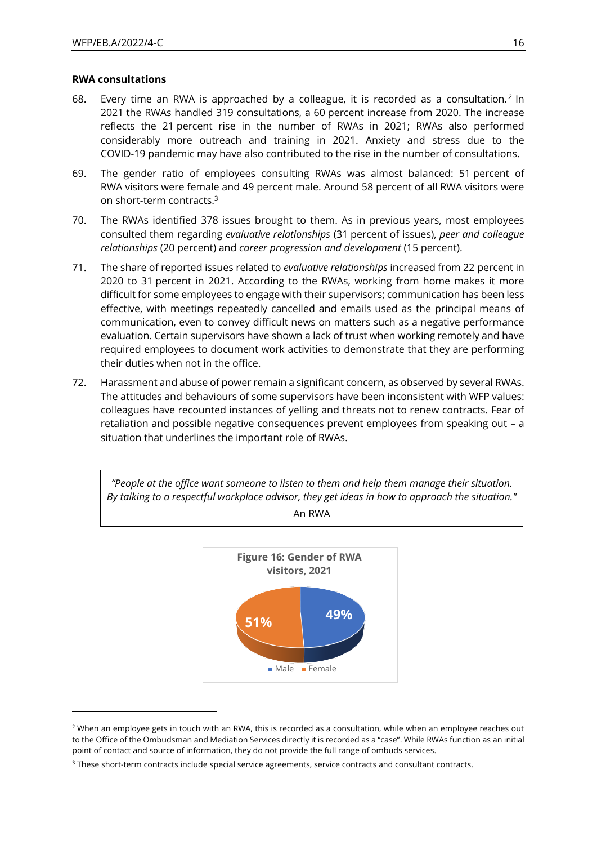#### **RWA consultations**

- 68. Every time an RWA is approached by a colleague, it is recorded as a consultation.<sup>2</sup> In 2021 the RWAs handled 319 consultations, a 60 percent increase from 2020. The increase reflects the 21 percent rise in the number of RWAs in 2021; RWAs also performed considerably more outreach and training in 2021. Anxiety and stress due to the COVID-19 pandemic may have also contributed to the rise in the number of consultations.
- 69. The gender ratio of employees consulting RWAs was almost balanced: 51 percent of RWA visitors were female and 49 percent male. Around 58 percent of all RWA visitors were on short-term contracts.<sup>3</sup>
- 70. The RWAs identified 378 issues brought to them. As in previous years, most employees consulted them regarding *evaluative relationships* (31 percent of issues), *peer and colleague relationships* (20 percent) and *career progression and development* (15 percent).
- 71. The share of reported issues related to *evaluative relationships* increased from 22 percent in 2020 to 31 percent in 2021. According to the RWAs, working from home makes it more difficult for some employees to engage with their supervisors; communication has been less effective, with meetings repeatedly cancelled and emails used as the principal means of communication, even to convey difficult news on matters such as a negative performance evaluation. Certain supervisors have shown a lack of trust when working remotely and have required employees to document work activities to demonstrate that they are performing their duties when not in the office.
- 72. Harassment and abuse of power remain a significant concern, as observed by several RWAs. The attitudes and behaviours of some supervisors have been inconsistent with WFP values: colleagues have recounted instances of yelling and threats not to renew contracts. Fear of retaliation and possible negative consequences prevent employees from speaking out – a situation that underlines the important role of RWAs.

*"People at the office want someone to listen to them and help them manage their situation. By talking to a respectful workplace advisor, they get ideas in how to approach the situation."* An RWA



<sup>&</sup>lt;sup>2</sup> When an employee gets in touch with an RWA, this is recorded as a consultation, while when an employee reaches out to the Office of the Ombudsman and Mediation Services directly it is recorded as a "case". While RWAs function as an initial point of contact and source of information, they do not provide the full range of ombuds services.

<sup>3</sup> These short-term contracts include special service agreements, service contracts and consultant contracts.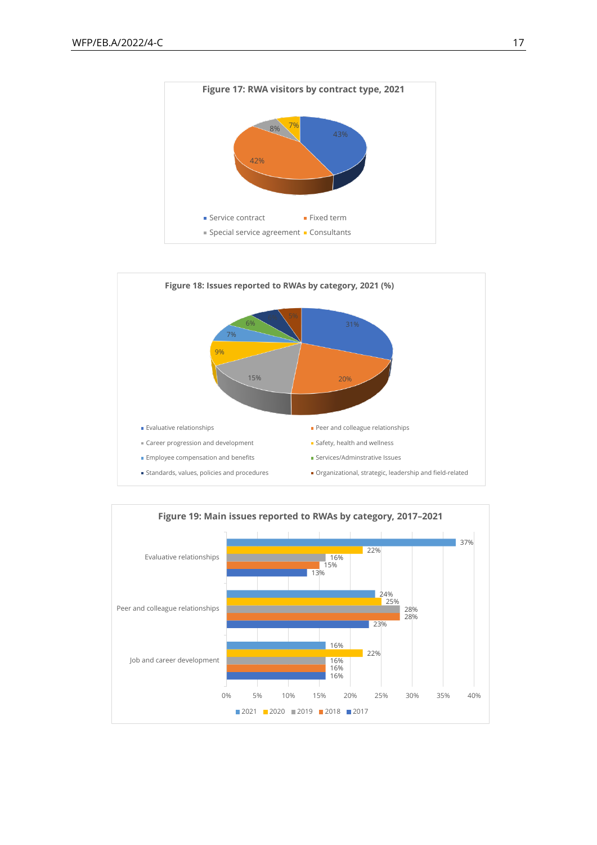



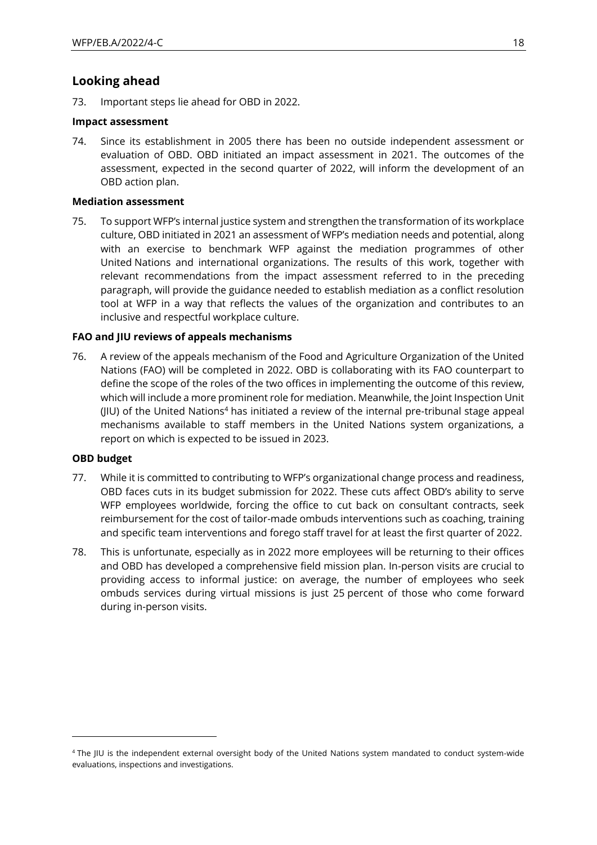### **Looking ahead**

73. Important steps lie ahead for OBD in 2022.

#### **Impact assessment**

74. Since its establishment in 2005 there has been no outside independent assessment or evaluation of OBD. OBD initiated an impact assessment in 2021. The outcomes of the assessment, expected in the second quarter of 2022, will inform the development of an OBD action plan.

#### **Mediation assessment**

75. To support WFP's internal justice system and strengthen the transformation of its workplace culture, OBD initiated in 2021 an assessment of WFP's mediation needs and potential, along with an exercise to benchmark WFP against the mediation programmes of other United Nations and international organizations. The results of this work, together with relevant recommendations from the impact assessment referred to in the preceding paragraph, will provide the guidance needed to establish mediation as a conflict resolution tool at WFP in a way that reflects the values of the organization and contributes to an inclusive and respectful workplace culture.

#### **FAO and JIU reviews of appeals mechanisms**

76. A review of the appeals mechanism of the Food and Agriculture Organization of the United Nations (FAO) will be completed in 2022. OBD is collaborating with its FAO counterpart to define the scope of the roles of the two offices in implementing the outcome of this review, which will include a more prominent role for mediation. Meanwhile, the Joint Inspection Unit  $(J|U)$  of the United Nations<sup>4</sup> has initiated a review of the internal pre-tribunal stage appeal mechanisms available to staff members in the United Nations system organizations, a report on which is expected to be issued in 2023.

#### **OBD budget**

- 77. While it is committed to contributing to WFP's organizational change process and readiness, OBD faces cuts in its budget submission for 2022. These cuts affect OBD's ability to serve WFP employees worldwide, forcing the office to cut back on consultant contracts, seek reimbursement for the cost of tailor-made ombuds interventions such as coaching, training and specific team interventions and forego staff travel for at least the first quarter of 2022.
- 78. This is unfortunate, especially as in 2022 more employees will be returning to their offices and OBD has developed a comprehensive field mission plan. In-person visits are crucial to providing access to informal justice: on average, the number of employees who seek ombuds services during virtual missions is just 25 percent of those who come forward during in-person visits.

<sup>4</sup> The JIU is the independent external oversight body of the United Nations system mandated to conduct system-wide evaluations, inspections and investigations.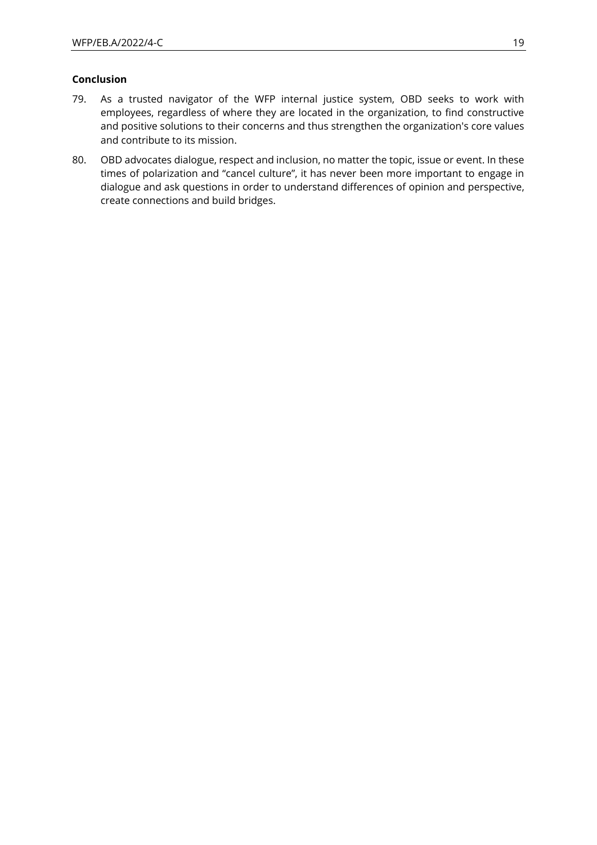#### **Conclusion**

- 79. As a trusted navigator of the WFP internal justice system, OBD seeks to work with employees, regardless of where they are located in the organization, to find constructive and positive solutions to their concerns and thus strengthen the organization's core values and contribute to its mission.
- 80. OBD advocates dialogue, respect and inclusion, no matter the topic, issue or event. In these times of polarization and "cancel culture", it has never been more important to engage in dialogue and ask questions in order to understand differences of opinion and perspective, create connections and build bridges.